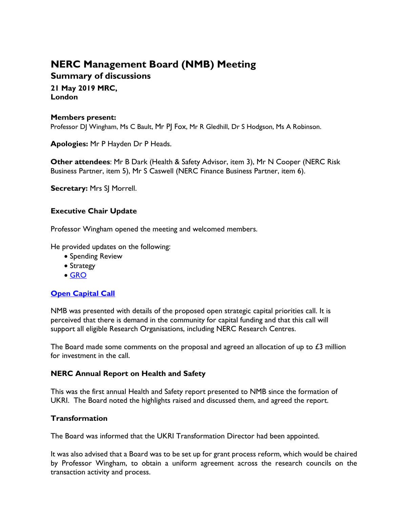# **NERC Management Board (NMB) Meeting Summary of discussions**

**21 May 2019 MRC,** 

**London**

#### **Members present:**

Professor DJ Wingham, Ms C Bault, Mr PJ Fox, Mr R Gledhill, Dr S Hodgson, Ms A Robinson.

**Apologies:** Mr P Hayden Dr P Heads.

**Other attendees**: Mr B Dark (Health & Safety Advisor, item 3), Mr N Cooper (NERC Risk Business Partner, item 5), Mr S Caswell (NERC Finance Business Partner, item 6).

**Secretary:** Mrs SJ Morrell.

#### **Executive Chair Update**

Professor Wingham opened the meeting and welcomed members.

He provided updates on the following:

- Spending Review
- Strategy
- [GRO](https://nerc.ukri.org/about/whatwedo/engage/engagement/governance/)

## **[Open Capital Call](https://nerc.ukri.org/funding/available/capital/call2019/)**

NMB was presented with details of the proposed open strategic capital priorities call. It is perceived that there is demand in the community for capital funding and that this call will support all eligible Research Organisations, including NERC Research Centres.

The Board made some comments on the proposal and agreed an allocation of up to  $\pounds 3$  million for investment in the call.

#### **NERC Annual Report on Health and Safety**

This was the first annual Health and Safety report presented to NMB since the formation of UKRI. The Board noted the highlights raised and discussed them, and agreed the report.

#### **Transformation**

The Board was informed that the UKRI Transformation Director had been appointed.

It was also advised that a Board was to be set up for grant process reform, which would be chaired by Professor Wingham, to obtain a uniform agreement across the research councils on the transaction activity and process.